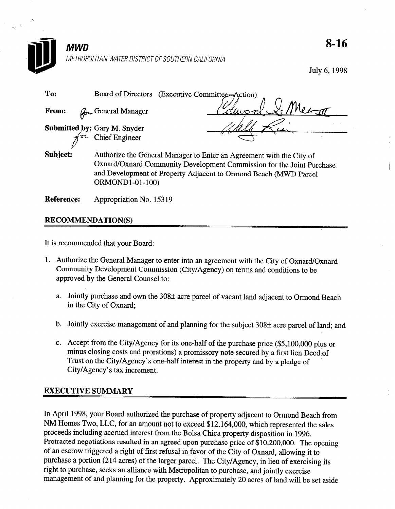

July 6, 1998

| To:      | Board of Directors<br>(Executive Committee-Action)                                                                                                                                                                |
|----------|-------------------------------------------------------------------------------------------------------------------------------------------------------------------------------------------------------------------|
| From:    | <b>Row General Manager</b><br>لحميدرا                                                                                                                                                                             |
|          | <b>Submitted by:</b> Gary M. Snyder<br>$\pi^{\sigma_{\mathcal{L}}}$ Chief Engineer                                                                                                                                |
| Subject: | Authorize the General Manager to Enter an Agreement with the City of<br>Oxnard/Oxnard Community Development Commission for the Joint Purchase<br>and Development of Property Adjacent to Ormond Beach (MWD Parcel |

Reference: Appropriation No. 15319

ORMONDl-01-100)

## RECOMMENDATION(S)

It is recommended that your Board:

- 1. Authorize the General Manager to enter into an agreement with the City of Oxnard/Oxnard Community Development Commission (City/Agency) on terms and conditions to be approved by the General Counsel to:
	- a. Jointly purchase and own the  $308\pm$  acre parcel of vacant land adjacent to Ormond Beach in the City of Oxnard;
	- b. Jointly exercise management of and planning for the subject  $308\pm$  acre parcel of land; and
	- c. Accept from the City/Agency for its one-half of the purchase price (\$5,100,000 plus or minus closing costs and prorations) a promissory note secured by a first lien Deed of Trust on the City/Agency's one-half interest in the property and by a pledge of City/Agency's tax increment.

## EXECUTIVE SUMMARY

In April 1998, your Board authorized the purchase of property adjacent to Ormond Beach from NM Homes Two, LLC, for an amount not to exceed \$12,164,000, which represented the sales proceeds including accrued interest from the Bolsa Chica property disposition in 1996. Protracted negotiations resulted in an agreed upon purchase price of \$10,200,000. The opening of an escrow triggered a right of first refusal in favor of the City of Oxnard, allowing it to purchase a portion (214 acres) of the larger parcel. The City/Agency, in lieu of exercising its right to purchase, seeks an alliance with Metropolitan to purchase, and jointly exercise management of and planning for the property. Approximately 20 acres of land will be set aside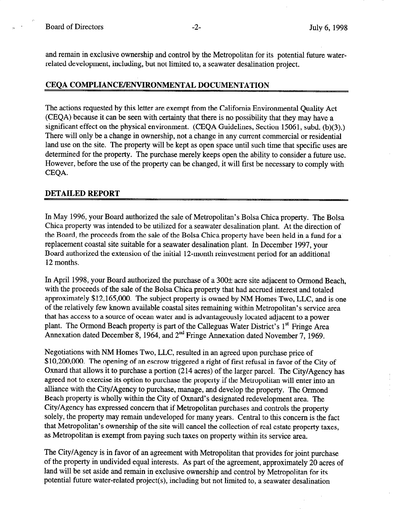and remain in exclusive ownership and control by the Metropolitan for its potential future waterrelated development, including, but not limited to, a seawater desalination project.

## CEOA COMPLIANCE/ENVIRONMENTAL DOCUMENTATION

The actions requested by this letter are exempt from the California Environmental Quality Act (CEQA) because it can be seen with certainty that there is no possibility that they may have a significant effect on the physical environment. (CEQA Guidelines, Section 15061, subd. (b)(3).) There will only be a change in ownership, not a change in any current commercial or residential land use on the site. The property will be kept as open space until such time that specific uses are determined for the property. The purchase merely keeps open the ability to consider a future use. However, before the use of the property can be changed, it will first be necessary to comply with CEQA.

## DETAILED REPORT

In May 1996, your Board authorized the sale of Metropolitan's Bolsa Chica property. The Bolsa Chica property was intended to be utilized for a seawater desalination plant. At the direction of the Board, the proceeds from the sale of the Bolsa Chica property have been held in a fund for a replacement coastal site suitable for a seawater desalination plant. In December 1997, your Board authorized the extension of the initial 12-month reinvestment period for an additional 12 months.

In April 1998, your Board authorized the purchase of a  $300\pm$  acre site adjacent to Ormond Beach, with the proceeds of the sale of the Bolsa Chica property that had accrued interest and totaled approximately \$12,165,000. The subject property is owned by NM Homes Two, LLC, and is one of the relatively few known available coastal sites remaining within Metropolitan's service area that has access to a source of ocean water and is advantageously located adjacent to a power plant. The Ormond Beach property is part of the Calleguas Water District's 1<sup>st</sup> Fringe Area Annexation dated December 8, 1964, and  $2<sup>nd</sup>$  Fringe Annexation dated November 7, 1969.

Negotiations with NM Homes Two, LLC, resulted in an agreed upon purchase price of \$10,200,000. The opening of an escrow triggered a right of first refusal in favor of the City of Oxnard that allows it to purchase a portion (214 acres) of the larger parcel. The City/Agency has agreed not to exercise its option to purchase the property if the Metropolitan will enter into an alliance with the City/Agency to purchase, manage, and develop the property. The Ormond Beach property is wholly within the City of Oxnard's designated redevelopment area. The City/Agency has expressed concern that if Metropolitan purchases and controls the property solely, the property may remain undeveloped for many years. Central to this concern is the fact that Metropolitan's ownership of the site will cancel the collection of real estate property taxes, as Metropolitan is exempt from paying such taxes on property within its service area.

The City/Agency is in favor of an agreement with Metropolitan that provides for joint purchase of the property in undivided equal interests. As part of the agreement, approximately 20 acres of land will be set aside and remain in exclusive ownership and control by Metropolitan for its potential future water-related project(s), including but not limited to, a seawater desalination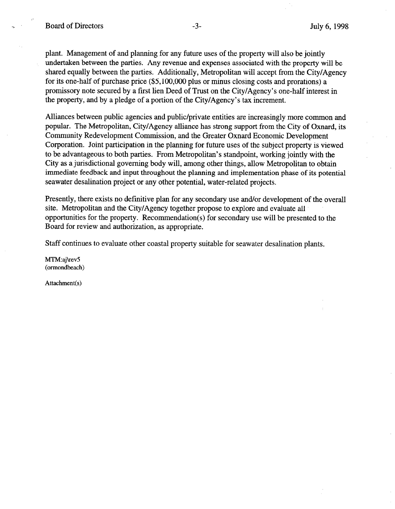plant. Management of and planning for any future uses of the property will also be jointly undertaken between the parties. Any revenue and expenses associated with the property will be shared equally between the parties. Additionally, Metropolitan will accept from the City/Agency for its one-half of purchase price (\$5,100,000 plus or minus closing costs and prorations) a promissory note secured by a first lien Deed of Trust on the City/Agency's one-half interest in the property, and by a pledge of a portion of the City/Agency's tax increment.

Alliances between public agencies and public/private entities are increasingly more common and popular. The Metropolitan, City/Agency alliance has strong support from the City of Oxnard, its Community Redevelopment Commission, and the Greater Oxnard Economic Development Corporation. Joint participation in the planning for future uses of the subject property is viewed to be advantageous to both parties. From Metropolitan's standpoint, working jointly with the City as a jurisdictional governing body will, among other things, allow Metropolitan to obtain immediate feedback and input throughout the planning and implementation phase of its potential seawater desalination project or any other potential, water-related projects.

Presently, there exists no definitive plan for any secondary use and/or development of the overall site. Metropolitan and the City/Agency together propose to explore and evaluate all opportunities for the property. Recommendation(s) for secondary use will be presented to the Board for review and authorization, as appropriate.

Staff continues to evaluate other coastal property suitable for seawater desalination plants.

MTM:aj\revS (ormondbeach)

Attachment(s)